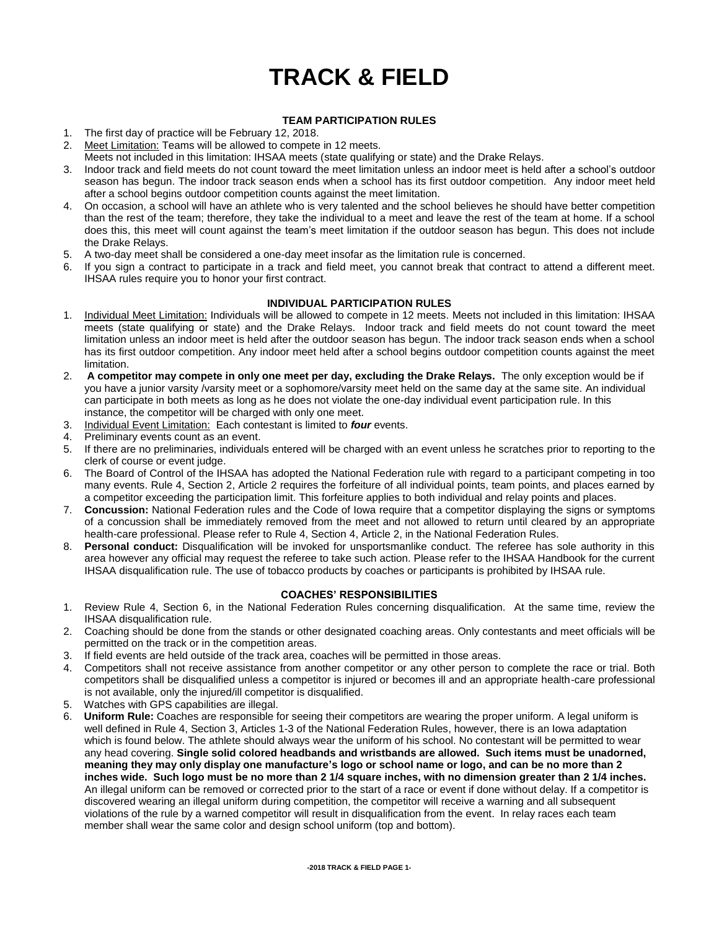# **TRACK & FIELD**

# **TEAM PARTICIPATION RULES**

- 1. The first day of practice will be February 12, 2018.
- 2. Meet Limitation: Teams will be allowed to compete in 12 meets.
- Meets not included in this limitation: IHSAA meets (state qualifying or state) and the Drake Relays.
- 3. Indoor track and field meets do not count toward the meet limitation unless an indoor meet is held after a school's outdoor season has begun. The indoor track season ends when a school has its first outdoor competition. Any indoor meet held after a school begins outdoor competition counts against the meet limitation.
- 4. On occasion, a school will have an athlete who is very talented and the school believes he should have better competition than the rest of the team; therefore, they take the individual to a meet and leave the rest of the team at home. If a school does this, this meet will count against the team's meet limitation if the outdoor season has begun. This does not include the Drake Relays.
- 5. A two-day meet shall be considered a one-day meet insofar as the limitation rule is concerned.
- 6. If you sign a contract to participate in a track and field meet, you cannot break that contract to attend a different meet. IHSAA rules require you to honor your first contract.

# **INDIVIDUAL PARTICIPATION RULES**

- 1. Individual Meet Limitation: Individuals will be allowed to compete in 12 meets. Meets not included in this limitation: IHSAA meets (state qualifying or state) and the Drake Relays. Indoor track and field meets do not count toward the meet limitation unless an indoor meet is held after the outdoor season has begun. The indoor track season ends when a school has its first outdoor competition. Any indoor meet held after a school begins outdoor competition counts against the meet limitation.
- 2. **A competitor may compete in only one meet per day, excluding the Drake Relays.** The only exception would be if you have a junior varsity /varsity meet or a sophomore/varsity meet held on the same day at the same site. An individual can participate in both meets as long as he does not violate the one-day individual event participation rule. In this instance, the competitor will be charged with only one meet.
- 3. Individual Event Limitation: Each contestant is limited to *four* events.
- 4. Preliminary events count as an event.
- 5. If there are no preliminaries, individuals entered will be charged with an event unless he scratches prior to reporting to the clerk of course or event judge.
- 6. The Board of Control of the IHSAA has adopted the National Federation rule with regard to a participant competing in too many events. Rule 4, Section 2, Article 2 requires the forfeiture of all individual points, team points, and places earned by a competitor exceeding the participation limit. This forfeiture applies to both individual and relay points and places.
- 7. **Concussion:** National Federation rules and the Code of Iowa require that a competitor displaying the signs or symptoms of a concussion shall be immediately removed from the meet and not allowed to return until cleared by an appropriate health-care professional. Please refer to Rule 4, Section 4, Article 2, in the National Federation Rules.
- 8. **Personal conduct:** Disqualification will be invoked for unsportsmanlike conduct. The referee has sole authority in this area however any official may request the referee to take such action. Please refer to the IHSAA Handbook for the current IHSAA disqualification rule. The use of tobacco products by coaches or participants is prohibited by IHSAA rule.

# **COACHES' RESPONSIBILITIES**

- 1. Review Rule 4, Section 6, in the National Federation Rules concerning disqualification. At the same time, review the IHSAA disqualification rule.
- 2. Coaching should be done from the stands or other designated coaching areas. Only contestants and meet officials will be permitted on the track or in the competition areas.
- 3. If field events are held outside of the track area, coaches will be permitted in those areas.
- 4. Competitors shall not receive assistance from another competitor or any other person to complete the race or trial. Both competitors shall be disqualified unless a competitor is injured or becomes ill and an appropriate health-care professional is not available, only the injured/ill competitor is disqualified.
- 5. Watches with GPS capabilities are illegal.
- 6. **Uniform Rule:** Coaches are responsible for seeing their competitors are wearing the proper uniform. A legal uniform is well defined in Rule 4, Section 3, Articles 1-3 of the National Federation Rules, however, there is an Iowa adaptation which is found below. The athlete should always wear the uniform of his school. No contestant will be permitted to wear any head covering. **Single solid colored headbands and wristbands are allowed. Such items must be unadorned, meaning they may only display one manufacture's logo or school name or logo, and can be no more than 2 inches wide. Such logo must be no more than 2 1/4 square inches, with no dimension greater than 2 1/4 inches.**  An illegal uniform can be removed or corrected prior to the start of a race or event if done without delay. If a competitor is discovered wearing an illegal uniform during competition, the competitor will receive a warning and all subsequent violations of the rule by a warned competitor will result in disqualification from the event. In relay races each team member shall wear the same color and design school uniform (top and bottom).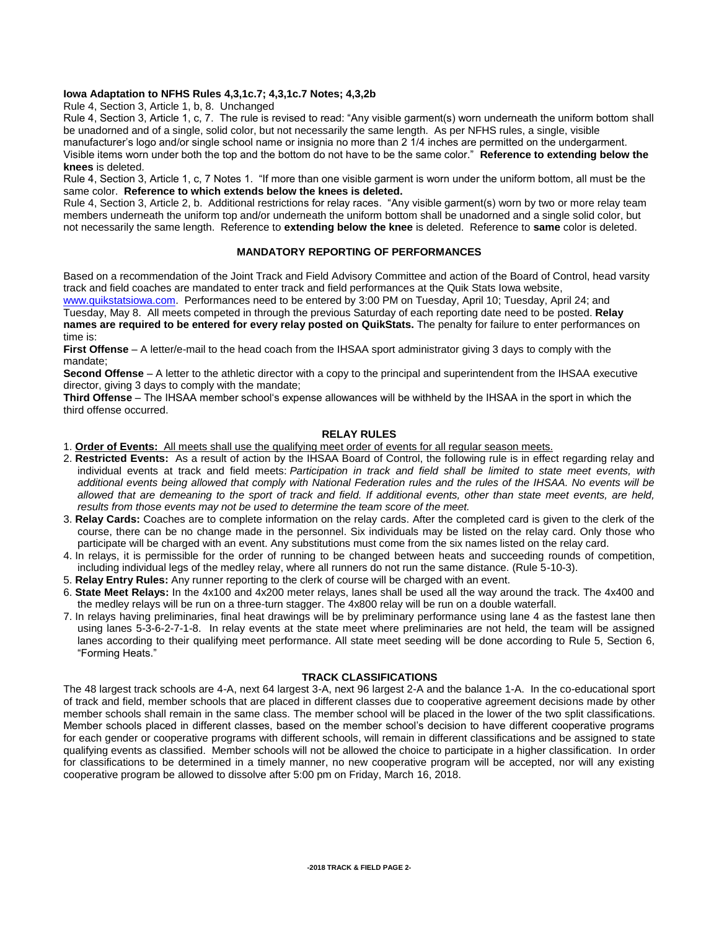## **Iowa Adaptation to NFHS Rules 4,3,1c.7; 4,3,1c.7 Notes; 4,3,2b**

Rule 4, Section 3, Article 1, b, 8. Unchanged

Rule 4, Section 3, Article 1, c, 7. The rule is revised to read: "Any visible garment(s) worn underneath the uniform bottom shall be unadorned and of a single, solid color, but not necessarily the same length. As per NFHS rules, a single, visible manufacturer's logo and/or single school name or insignia no more than 2 1/4 inches are permitted on the undergarment. Visible items worn under both the top and the bottom do not have to be the same color." **Reference to extending below the knees** is deleted.

Rule 4, Section 3, Article 1, c, 7 Notes 1. "If more than one visible garment is worn under the uniform bottom, all must be the same color. **Reference to which extends below the knees is deleted.**

Rule 4, Section 3, Article 2, b. Additional restrictions for relay races. "Any visible garment(s) worn by two or more relay team members underneath the uniform top and/or underneath the uniform bottom shall be unadorned and a single solid color, but not necessarily the same length. Reference to **extending below the knee** is deleted. Reference to **same** color is deleted.

# **MANDATORY REPORTING OF PERFORMANCES**

Based on a recommendation of the Joint Track and Field Advisory Committee and action of the Board of Control, head varsity track and field coaches are mandated to enter track and field performances at the Quik Stats Iowa website,

[www.quikstatsiowa.com.](http://www.quikstatsiowa.com/) Performances need to be entered by 3:00 PM on Tuesday, April 10; Tuesday, April 24; and Tuesday, May 8. All meets competed in through the previous Saturday of each reporting date need to be posted. **Relay names are required to be entered for every relay posted on QuikStats.** The penalty for failure to enter performances on time is:

**First Offense** – A letter/e-mail to the head coach from the IHSAA sport administrator giving 3 days to comply with the mandate;

**Second Offense** – A letter to the athletic director with a copy to the principal and superintendent from the IHSAA executive director, giving 3 days to comply with the mandate;

**Third Offense** – The IHSAA member school's expense allowances will be withheld by the IHSAA in the sport in which the third offense occurred.

## **RELAY RULES**

- 1. **Order of Events:** All meets shall use the qualifying meet order of events for all regular season meets.
- 2. **Restricted Events:** As a result of action by the IHSAA Board of Control, the following rule is in effect regarding relay and individual events at track and field meets: *Participation in track and field shall be limited to state meet events, with additional events being allowed that comply with National Federation rules and the rules of the IHSAA. No events will be allowed that are demeaning to the sport of track and field. If additional events, other than state meet events, are held, results from those events may not be used to determine the team score of the meet.*
- 3. **Relay Cards:** Coaches are to complete information on the relay cards. After the completed card is given to the clerk of the course, there can be no change made in the personnel. Six individuals may be listed on the relay card. Only those who participate will be charged with an event. Any substitutions must come from the six names listed on the relay card.
- 4. In relays, it is permissible for the order of running to be changed between heats and succeeding rounds of competition, including individual legs of the medley relay, where all runners do not run the same distance. (Rule 5-10-3).
- 5. **Relay Entry Rules:** Any runner reporting to the clerk of course will be charged with an event.
- 6. **State Meet Relays:** In the 4x100 and 4x200 meter relays, lanes shall be used all the way around the track. The 4x400 and the medley relays will be run on a three-turn stagger. The 4x800 relay will be run on a double waterfall.
- 7. In relays having preliminaries, final heat drawings will be by preliminary performance using lane 4 as the fastest lane then using lanes 5-3-6-2-7-1-8. In relay events at the state meet where preliminaries are not held, the team will be assigned lanes according to their qualifying meet performance. All state meet seeding will be done according to Rule 5, Section 6, "Forming Heats."

#### **TRACK CLASSIFICATIONS**

The 48 largest track schools are 4-A, next 64 largest 3-A, next 96 largest 2-A and the balance 1-A. In the co-educational sport of track and field, member schools that are placed in different classes due to cooperative agreement decisions made by other member schools shall remain in the same class. The member school will be placed in the lower of the two split classifications. Member schools placed in different classes, based on the member school's decision to have different cooperative programs for each gender or cooperative programs with different schools, will remain in different classifications and be assigned to state qualifying events as classified. Member schools will not be allowed the choice to participate in a higher classification. In order for classifications to be determined in a timely manner, no new cooperative program will be accepted, nor will any existing cooperative program be allowed to dissolve after 5:00 pm on Friday, March 16, 2018.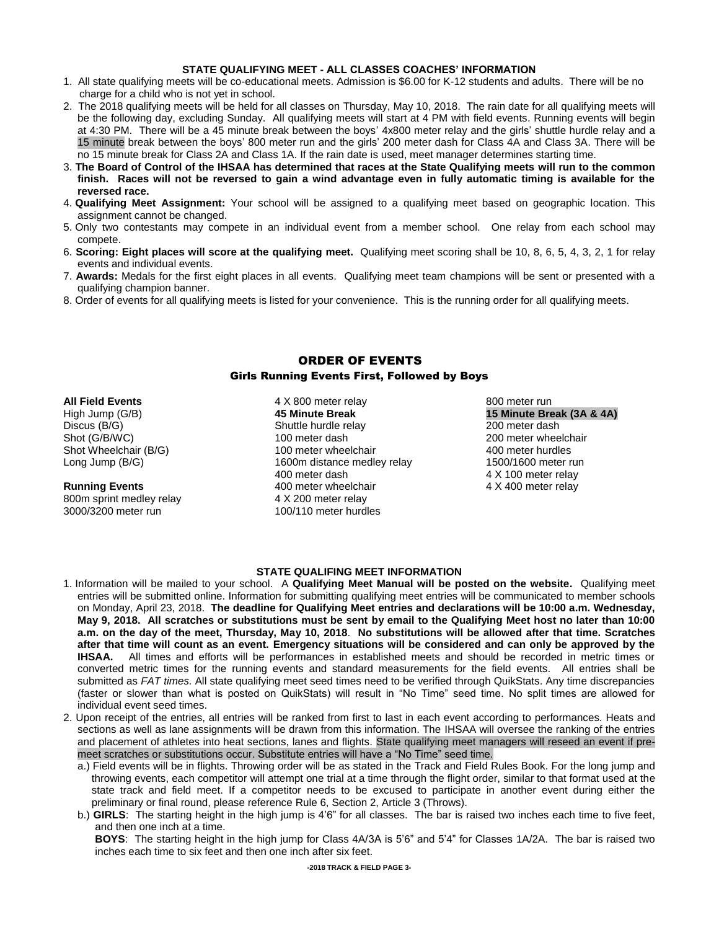#### **STATE QUALIFYING MEET - ALL CLASSES COACHES' INFORMATION**

- 1. All state qualifying meets will be co-educational meets. Admission is \$6.00 for K-12 students and adults. There will be no charge for a child who is not yet in school.
- 2. The 2018 qualifying meets will be held for all classes on Thursday, May 10, 2018. The rain date for all qualifying meets will be the following day, excluding Sunday. All qualifying meets will start at 4 PM with field events. Running events will begin at 4:30 PM. There will be a 45 minute break between the boys' 4x800 meter relay and the girls' shuttle hurdle relay and a 15 minute break between the boys' 800 meter run and the girls' 200 meter dash for Class 4A and Class 3A. There will be no 15 minute break for Class 2A and Class 1A. If the rain date is used, meet manager determines starting time.
- 3. **The Board of Control of the IHSAA has determined that races at the State Qualifying meets will run to the common finish. Races will not be reversed to gain a wind advantage even in fully automatic timing is available for the reversed race.**
- 4. **Qualifying Meet Assignment:** Your school will be assigned to a qualifying meet based on geographic location. This assignment cannot be changed.
- 5. Only two contestants may compete in an individual event from a member school. One relay from each school may compete.
- 6. **Scoring: Eight places will score at the qualifying meet.** Qualifying meet scoring shall be 10, 8, 6, 5, 4, 3, 2, 1 for relay events and individual events.
- 7. **Awards:** Medals for the first eight places in all events. Qualifying meet team champions will be sent or presented with a qualifying champion banner.
- 8. Order of events for all qualifying meets is listed for your convenience. This is the running order for all qualifying meets.

# ORDER OF EVENTS

# Girls Running Events First, Followed by Boys

## **All Field Events**

High Jump (G/B) Discus (B/G) Shot (G/B/WC) Shot Wheelchair (B/G) Long Jump (B/G)

#### **Running Events**

800m sprint medley relay 3000/3200 meter run

4 X 800 meter relay **45 Minute Break** Shuttle hurdle relay 100 meter dash 100 meter wheelchair 1600m distance medley relay 400 meter dash 400 meter wheelchair 4 X 200 meter relay 100/110 meter hurdles

800 meter run **15 Minute Break (3A & 4A)** 200 meter dash 200 meter wheelchair 400 meter hurdles 1500/1600 meter run 4 X 100 meter relay 4 X 400 meter relay

#### **STATE QUALIFING MEET INFORMATION**

- 1. Information will be mailed to your school. A **Qualifying Meet Manual will be posted on the website.** Qualifying meet entries will be submitted online. Information for submitting qualifying meet entries will be communicated to member schools on Monday, April 23, 2018. **The deadline for Qualifying Meet entries and declarations will be 10:00 a.m. Wednesday, May 9, 2018. All scratches or substitutions must be sent by email to the Qualifying Meet host no later than 10:00 a.m. on the day of the meet, Thursday, May 10, 2018**. **No substitutions will be allowed after that time. Scratches after that time will count as an event. Emergency situations will be considered and can only be approved by the IHSAA.** All times and efforts will be performances in established meets and should be recorded in metric times or converted metric times for the running events and standard measurements for the field events. All entries shall be submitted as *FAT times.* All state qualifying meet seed times need to be verified through QuikStats. Any time discrepancies (faster or slower than what is posted on QuikStats) will result in "No Time" seed time. No split times are allowed for individual event seed times.
- 2. Upon receipt of the entries, all entries will be ranked from first to last in each event according to performances. Heats and sections as well as lane assignments wiII be drawn from this information. The IHSAA will oversee the ranking of the entries and placement of athletes into heat sections, lanes and flights. State qualifying meet managers will reseed an event if premeet scratches or substitutions occur. Substitute entries will have a "No Time" seed time.
	- a.) Field events will be in flights. Throwing order will be as stated in the Track and Field Rules Book. For the long jump and throwing events, each competitor will attempt one trial at a time through the flight order, similar to that format used at the state track and field meet. If a competitor needs to be excused to participate in another event during either the preliminary or final round, please reference Rule 6, Section 2, Article 3 (Throws).
	- b.) **GIRLS**: The starting height in the high jump is 4'6" for all classes. The bar is raised two inches each time to five feet, and then one inch at a time.

**BOYS**: The starting height in the high jump for Class 4A/3A is 5'6" and 5'4" for Classes 1A/2A. The bar is raised two inches each time to six feet and then one inch after six feet.